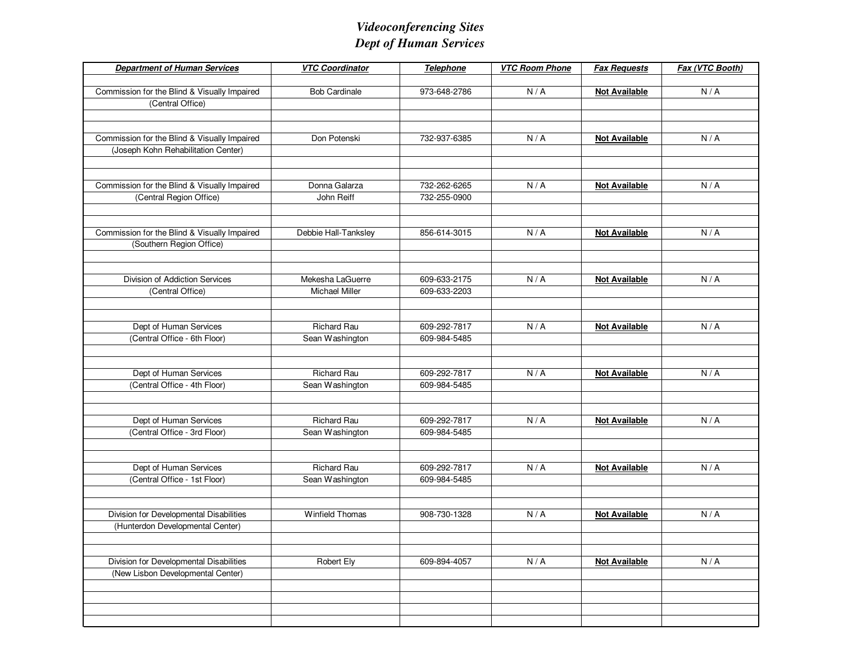## *Videoconferencing SitesDept of Human Services*

| <b>Department of Human Services</b>          | <b>VTC Coordinator</b> | <b>Telephone</b> | <b>VTC Room Phone</b> | <b>Fax Requests</b>  | Fax (VTC Booth) |
|----------------------------------------------|------------------------|------------------|-----------------------|----------------------|-----------------|
|                                              |                        |                  |                       |                      |                 |
| Commission for the Blind & Visually Impaired | <b>Bob Cardinale</b>   | 973-648-2786     | N/A                   | <b>Not Available</b> | N/A             |
| (Central Office)                             |                        |                  |                       |                      |                 |
|                                              |                        |                  |                       |                      |                 |
|                                              |                        |                  |                       |                      |                 |
| Commission for the Blind & Visually Impaired | Don Potenski           | 732-937-6385     | N/A                   | <b>Not Available</b> | N/A             |
| (Joseph Kohn Rehabilitation Center)          |                        |                  |                       |                      |                 |
|                                              |                        |                  |                       |                      |                 |
| Commission for the Blind & Visually Impaired | Donna Galarza          | 732-262-6265     | N/A                   | <b>Not Available</b> | N/A             |
|                                              | John Reiff             | 732-255-0900     |                       |                      |                 |
| (Central Region Office)                      |                        |                  |                       |                      |                 |
|                                              |                        |                  |                       |                      |                 |
| Commission for the Blind & Visually Impaired | Debbie Hall-Tanksley   | 856-614-3015     | N/A                   | <b>Not Available</b> | N/A             |
| (Southern Region Office)                     |                        |                  |                       |                      |                 |
|                                              |                        |                  |                       |                      |                 |
|                                              |                        |                  |                       |                      |                 |
| Division of Addiction Services               | Mekesha LaGuerre       | 609-633-2175     | N/A                   | <b>Not Available</b> | N/A             |
| (Central Office)                             | <b>Michael Miller</b>  | 609-633-2203     |                       |                      |                 |
|                                              |                        |                  |                       |                      |                 |
|                                              |                        |                  |                       |                      |                 |
| Dept of Human Services                       | <b>Richard Rau</b>     | 609-292-7817     | N/A                   | <b>Not Available</b> | N/A             |
| (Central Office - 6th Floor)                 | Sean Washington        | 609-984-5485     |                       |                      |                 |
|                                              |                        |                  |                       |                      |                 |
|                                              |                        |                  |                       |                      |                 |
| Dept of Human Services                       | <b>Richard Rau</b>     | 609-292-7817     | N/A                   | <b>Not Available</b> | N/A             |
| (Central Office - 4th Floor)                 | Sean Washington        | 609-984-5485     |                       |                      |                 |
|                                              |                        |                  |                       |                      |                 |
|                                              |                        |                  |                       |                      |                 |
| Dept of Human Services                       | <b>Richard Rau</b>     | 609-292-7817     | N/A                   | <b>Not Available</b> | N/A             |
| (Central Office - 3rd Floor)                 | Sean Washington        | 609-984-5485     |                       |                      |                 |
|                                              |                        |                  |                       |                      |                 |
| Dept of Human Services                       | <b>Richard Rau</b>     | 609-292-7817     | N/A                   | <b>Not Available</b> | N/A             |
| (Central Office - 1st Floor)                 | Sean Washington        | 609-984-5485     |                       |                      |                 |
|                                              |                        |                  |                       |                      |                 |
|                                              |                        |                  |                       |                      |                 |
| Division for Developmental Disabilities      | <b>Winfield Thomas</b> | 908-730-1328     | N/A                   | <b>Not Available</b> | N/A             |
| (Hunterdon Developmental Center)             |                        |                  |                       |                      |                 |
|                                              |                        |                  |                       |                      |                 |
|                                              |                        |                  |                       |                      |                 |
| Division for Developmental Disabilities      | Robert Ely             | 609-894-4057     | N/A                   | <b>Not Available</b> | N/A             |
| (New Lisbon Developmental Center)            |                        |                  |                       |                      |                 |
|                                              |                        |                  |                       |                      |                 |
|                                              |                        |                  |                       |                      |                 |
|                                              |                        |                  |                       |                      |                 |
|                                              |                        |                  |                       |                      |                 |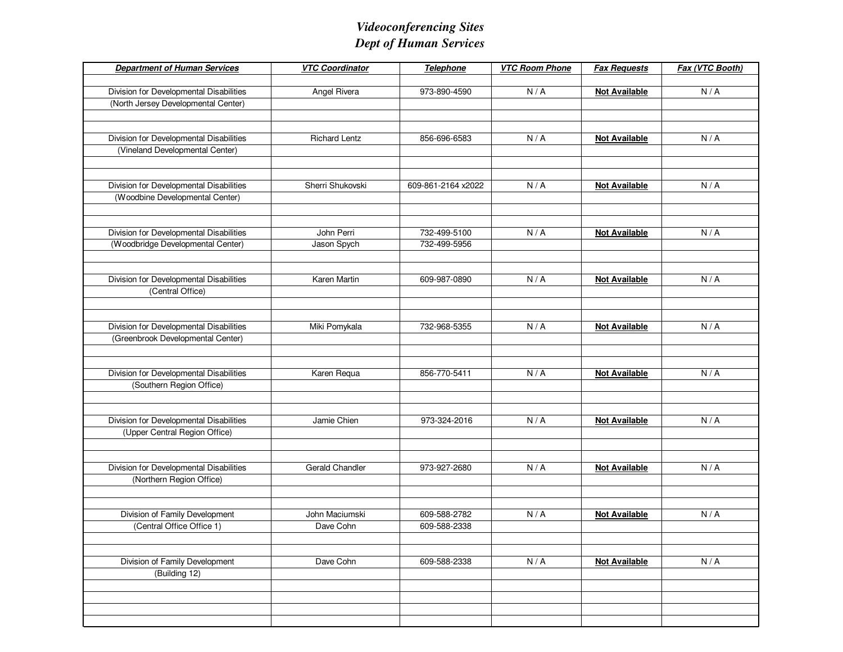## *Videoconferencing SitesDept of Human Services*

| <b>Department of Human Services</b>     | <b>VTC Coordinator</b> | <b>Telephone</b>   | <b>VTC Room Phone</b> | <b>Fax Requests</b>  | Fax (VTC Booth) |
|-----------------------------------------|------------------------|--------------------|-----------------------|----------------------|-----------------|
|                                         |                        |                    |                       |                      |                 |
| Division for Developmental Disabilities | Angel Rivera           | 973-890-4590       | N/A                   | <b>Not Available</b> | N/A             |
| (North Jersey Developmental Center)     |                        |                    |                       |                      |                 |
|                                         |                        |                    |                       |                      |                 |
|                                         |                        |                    |                       |                      |                 |
| Division for Developmental Disabilities | <b>Richard Lentz</b>   | 856-696-6583       | N/A                   | <b>Not Available</b> | N/A             |
| (Vineland Developmental Center)         |                        |                    |                       |                      |                 |
|                                         |                        |                    |                       |                      |                 |
| Division for Developmental Disabilities | Sherri Shukovski       | 609-861-2164 x2022 | N/A                   | <b>Not Available</b> | N/A             |
| (Woodbine Developmental Center)         |                        |                    |                       |                      |                 |
|                                         |                        |                    |                       |                      |                 |
|                                         |                        |                    |                       |                      |                 |
| Division for Developmental Disabilities | John Perri             | 732-499-5100       | N/A                   | <b>Not Available</b> | N/A             |
| (Woodbridge Developmental Center)       | Jason Spych            | 732-499-5956       |                       |                      |                 |
|                                         |                        |                    |                       |                      |                 |
|                                         |                        |                    |                       |                      |                 |
| Division for Developmental Disabilities | Karen Martin           | 609-987-0890       | N/A                   | <b>Not Available</b> | N/A             |
| (Central Office)                        |                        |                    |                       |                      |                 |
|                                         |                        |                    |                       |                      |                 |
|                                         |                        |                    |                       |                      |                 |
| Division for Developmental Disabilities | Miki Pomykala          | 732-968-5355       | N/A                   | <b>Not Available</b> | N/A             |
| (Greenbrook Developmental Center)       |                        |                    |                       |                      |                 |
|                                         |                        |                    |                       |                      |                 |
|                                         |                        |                    |                       |                      |                 |
| Division for Developmental Disabilities | Karen Requa            | 856-770-5411       | N/A                   | <b>Not Available</b> | N/A             |
| (Southern Region Office)                |                        |                    |                       |                      |                 |
|                                         |                        |                    |                       |                      |                 |
| Division for Developmental Disabilities | Jamie Chien            | 973-324-2016       | N/A                   | <b>Not Available</b> | N/A             |
| (Upper Central Region Office)           |                        |                    |                       |                      |                 |
|                                         |                        |                    |                       |                      |                 |
|                                         |                        |                    |                       |                      |                 |
| Division for Developmental Disabilities | Gerald Chandler        | 973-927-2680       | N/A                   | <b>Not Available</b> | N/A             |
| (Northern Region Office)                |                        |                    |                       |                      |                 |
|                                         |                        |                    |                       |                      |                 |
|                                         |                        |                    |                       |                      |                 |
| Division of Family Development          | John Maciumski         | 609-588-2782       | N/A                   | <b>Not Available</b> | N/A             |
| (Central Office Office 1)               | Dave Cohn              | 609-588-2338       |                       |                      |                 |
|                                         |                        |                    |                       |                      |                 |
|                                         |                        |                    |                       |                      |                 |
| Division of Family Development          | Dave Cohn              | 609-588-2338       | N/A                   | <b>Not Available</b> | N/A             |
| (Building 12)                           |                        |                    |                       |                      |                 |
|                                         |                        |                    |                       |                      |                 |
|                                         |                        |                    |                       |                      |                 |
|                                         |                        |                    |                       |                      |                 |
|                                         |                        |                    |                       |                      |                 |